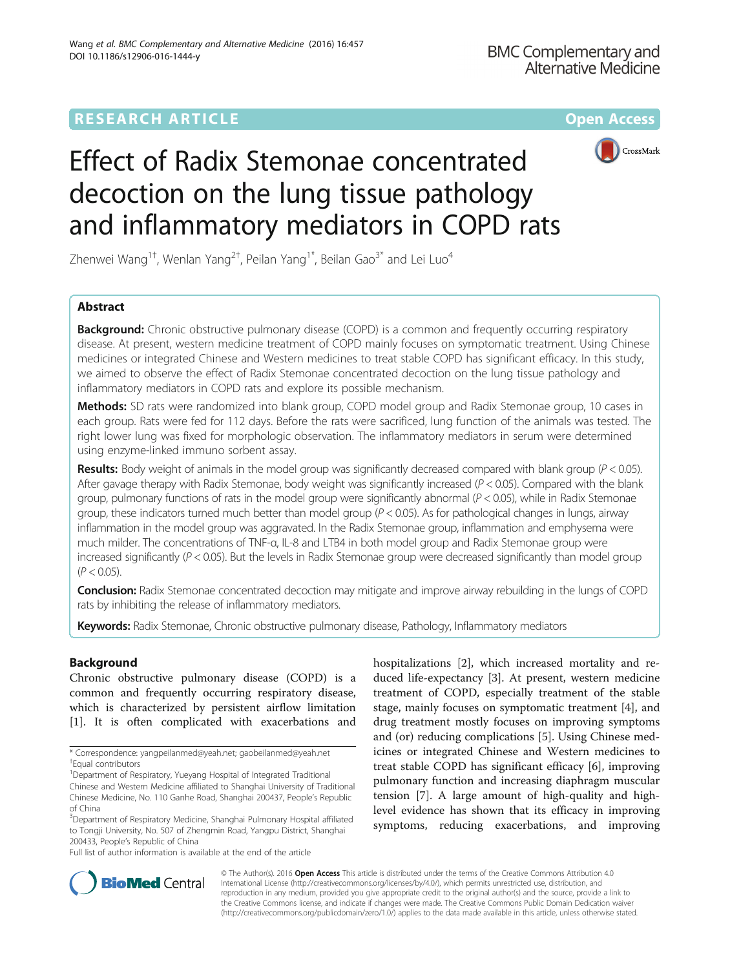# **RESEARCH ARTICLE Example 2014 12:30 The Community Community Community Community Community Community Community**



# Effect of Radix Stemonae concentrated decoction on the lung tissue pathology and inflammatory mediators in COPD rats

Zhenwei Wang $^{\rm 1+}$ , Wenlan Yang $^{\rm 2+}$ , Peilan Yang $^{\rm 1*}$ , Beilan Gao $^{\rm 3*}$  and Lei Luo $^{\rm 4}$ 

# Abstract

**Background:** Chronic obstructive pulmonary disease (COPD) is a common and frequently occurring respiratory disease. At present, western medicine treatment of COPD mainly focuses on symptomatic treatment. Using Chinese medicines or integrated Chinese and Western medicines to treat stable COPD has significant efficacy. In this study, we aimed to observe the effect of Radix Stemonae concentrated decoction on the lung tissue pathology and inflammatory mediators in COPD rats and explore its possible mechanism.

Methods: SD rats were randomized into blank group, COPD model group and Radix Stemonae group, 10 cases in each group. Rats were fed for 112 days. Before the rats were sacrificed, lung function of the animals was tested. The right lower lung was fixed for morphologic observation. The inflammatory mediators in serum were determined using enzyme-linked immuno sorbent assay.

**Results:** Body weight of animals in the model group was significantly decreased compared with blank group ( $P < 0.05$ ). After gavage therapy with Radix Stemonae, body weight was significantly increased  $(P < 0.05)$ . Compared with the blank group, pulmonary functions of rats in the model group were significantly abnormal  $(P < 0.05)$ , while in Radix Stemonae group, these indicators turned much better than model group  $(P < 0.05)$ . As for pathological changes in lungs, airway inflammation in the model group was aggravated. In the Radix Stemonae group, inflammation and emphysema were much milder. The concentrations of TNF-α, IL-8 and LTB4 in both model group and Radix Stemonae group were increased significantly ( $P < 0.05$ ). But the levels in Radix Stemonae group were decreased significantly than model group  $(P < 0.05)$ .

**Conclusion:** Radix Stemonae concentrated decoction may mitigate and improve airway rebuilding in the lungs of COPD rats by inhibiting the release of inflammatory mediators.

Keywords: Radix Stemonae, Chronic obstructive pulmonary disease, Pathology, Inflammatory mediators

# Background

Chronic obstructive pulmonary disease (COPD) is a common and frequently occurring respiratory disease, which is characterized by persistent airflow limitation [[1\]](#page-5-0). It is often complicated with exacerbations and

Full list of author information is available at the end of the article

hospitalizations [\[2](#page-5-0)], which increased mortality and reduced life-expectancy [\[3](#page-5-0)]. At present, western medicine treatment of COPD, especially treatment of the stable stage, mainly focuses on symptomatic treatment [\[4\]](#page-5-0), and drug treatment mostly focuses on improving symptoms and (or) reducing complications [\[5](#page-6-0)]. Using Chinese medicines or integrated Chinese and Western medicines to treat stable COPD has significant efficacy [\[6\]](#page-6-0), improving pulmonary function and increasing diaphragm muscular tension [[7](#page-6-0)]. A large amount of high-quality and highlevel evidence has shown that its efficacy in improving symptoms, reducing exacerbations, and improving



© The Author(s). 2016 Open Access This article is distributed under the terms of the Creative Commons Attribution 4.0 International License [\(http://creativecommons.org/licenses/by/4.0/](http://creativecommons.org/licenses/by/4.0/)), which permits unrestricted use, distribution, and reproduction in any medium, provided you give appropriate credit to the original author(s) and the source, provide a link to the Creative Commons license, and indicate if changes were made. The Creative Commons Public Domain Dedication waiver [\(http://creativecommons.org/publicdomain/zero/1.0/](http://creativecommons.org/publicdomain/zero/1.0/)) applies to the data made available in this article, unless otherwise stated.

<sup>\*</sup> Correspondence: [yangpeilanmed@yeah.net;](mailto:yangpeilanmed@yeah.net) [gaobeilanmed@yeah.net](mailto:gaobeilanmed@yeah.net) † Equal contributors

<sup>&</sup>lt;sup>1</sup>Department of Respiratory, Yueyang Hospital of Integrated Traditional Chinese and Western Medicine affiliated to Shanghai University of Traditional Chinese Medicine, No. 110 Ganhe Road, Shanghai 200437, People's Republic of China

<sup>&</sup>lt;sup>3</sup>Department of Respiratory Medicine, Shanghai Pulmonary Hospital affiliated to Tongji University, No. 507 of Zhengmin Road, Yangpu District, Shanghai 200433, People's Republic of China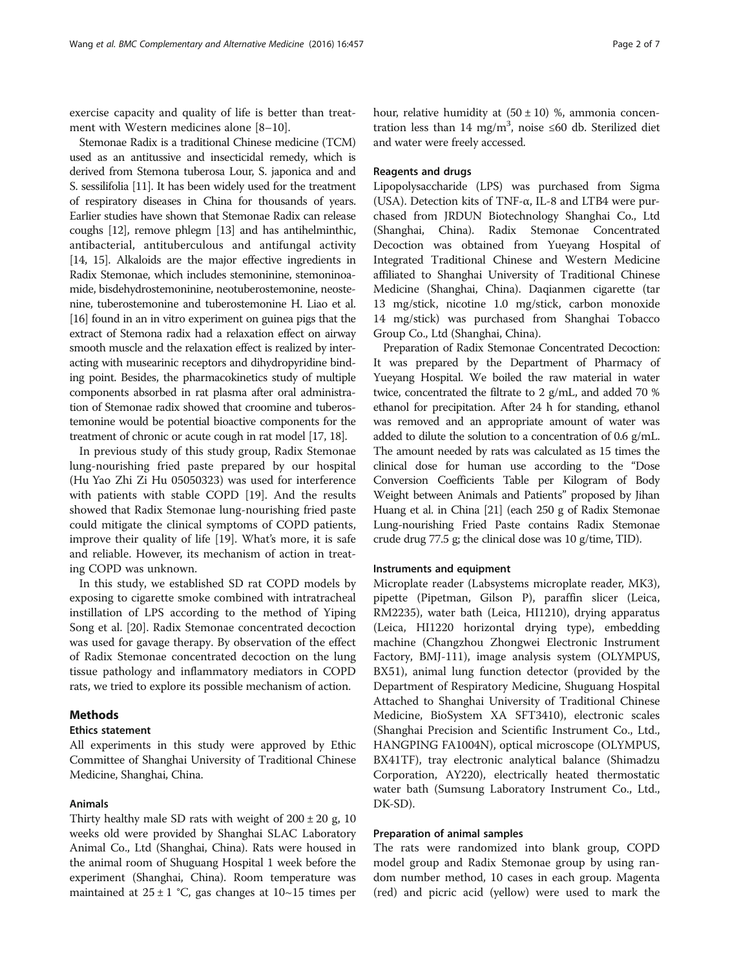exercise capacity and quality of life is better than treatment with Western medicines alone [\[8](#page-6-0)–[10\]](#page-6-0).

Stemonae Radix is a traditional Chinese medicine (TCM) used as an antitussive and insecticidal remedy, which is derived from Stemona tuberosa Lour, S. japonica and and S. sessilifolia [[11](#page-6-0)]. It has been widely used for the treatment of respiratory diseases in China for thousands of years. Earlier studies have shown that Stemonae Radix can release coughs [\[12\]](#page-6-0), remove phlegm [\[13\]](#page-6-0) and has antihelminthic, antibacterial, antituberculous and antifungal activity [[14](#page-6-0), [15](#page-6-0)]. Alkaloids are the major effective ingredients in Radix Stemonae, which includes stemoninine, stemoninoamide, bisdehydrostemoninine, neotuberostemonine, neostenine, tuberostemonine and tuberostemonine H. Liao et al. [[16](#page-6-0)] found in an in vitro experiment on guinea pigs that the extract of Stemona radix had a relaxation effect on airway smooth muscle and the relaxation effect is realized by interacting with musearinic receptors and dihydropyridine binding point. Besides, the pharmacokinetics study of multiple components absorbed in rat plasma after oral administration of Stemonae radix showed that croomine and tuberostemonine would be potential bioactive components for the treatment of chronic or acute cough in rat model [\[17](#page-6-0), [18](#page-6-0)].

In previous study of this study group, Radix Stemonae lung-nourishing fried paste prepared by our hospital (Hu Yao Zhi Zi Hu 05050323) was used for interference with patients with stable COPD [\[19\]](#page-6-0). And the results showed that Radix Stemonae lung-nourishing fried paste could mitigate the clinical symptoms of COPD patients, improve their quality of life [[19](#page-6-0)]. What's more, it is safe and reliable. However, its mechanism of action in treating COPD was unknown.

In this study, we established SD rat COPD models by exposing to cigarette smoke combined with intratracheal instillation of LPS according to the method of Yiping Song et al. [\[20](#page-6-0)]. Radix Stemonae concentrated decoction was used for gavage therapy. By observation of the effect of Radix Stemonae concentrated decoction on the lung tissue pathology and inflammatory mediators in COPD rats, we tried to explore its possible mechanism of action.

## Methods

#### Ethics statement

All experiments in this study were approved by Ethic Committee of Shanghai University of Traditional Chinese Medicine, Shanghai, China.

#### Animals

Thirty healthy male SD rats with weight of  $200 \pm 20$  g, 10 weeks old were provided by Shanghai SLAC Laboratory Animal Co., Ltd (Shanghai, China). Rats were housed in the animal room of Shuguang Hospital 1 week before the experiment (Shanghai, China). Room temperature was maintained at  $25 \pm 1$  °C, gas changes at  $10 \sim 15$  times per hour, relative humidity at  $(50 \pm 10)$  %, ammonia concentration less than 14 mg/m<sup>3</sup>, noise ≤60 db. Sterilized diet and water were freely accessed.

#### Reagents and drugs

Lipopolysaccharide (LPS) was purchased from Sigma (USA). Detection kits of TNF-α, IL-8 and LTB4 were purchased from JRDUN Biotechnology Shanghai Co., Ltd (Shanghai, China). Radix Stemonae Concentrated Decoction was obtained from Yueyang Hospital of Integrated Traditional Chinese and Western Medicine affiliated to Shanghai University of Traditional Chinese Medicine (Shanghai, China). Daqianmen cigarette (tar 13 mg/stick, nicotine 1.0 mg/stick, carbon monoxide 14 mg/stick) was purchased from Shanghai Tobacco Group Co., Ltd (Shanghai, China).

Preparation of Radix Stemonae Concentrated Decoction: It was prepared by the Department of Pharmacy of Yueyang Hospital. We boiled the raw material in water twice, concentrated the filtrate to 2 g/mL, and added 70 % ethanol for precipitation. After 24 h for standing, ethanol was removed and an appropriate amount of water was added to dilute the solution to a concentration of 0.6 g/mL. The amount needed by rats was calculated as 15 times the clinical dose for human use according to the "Dose Conversion Coefficients Table per Kilogram of Body Weight between Animals and Patients" proposed by Jihan Huang et al. in China [[21](#page-6-0)] (each 250 g of Radix Stemonae Lung-nourishing Fried Paste contains Radix Stemonae crude drug 77.5 g; the clinical dose was 10 g/time, TID).

#### Instruments and equipment

Microplate reader (Labsystems microplate reader, MK3), pipette (Pipetman, Gilson P), paraffin slicer (Leica, RM2235), water bath (Leica, HI1210), drying apparatus (Leica, HI1220 horizontal drying type), embedding machine (Changzhou Zhongwei Electronic Instrument Factory, BMJ-111), image analysis system (OLYMPUS, BX51), animal lung function detector (provided by the Department of Respiratory Medicine, Shuguang Hospital Attached to Shanghai University of Traditional Chinese Medicine, BioSystem XA SFT3410), electronic scales (Shanghai Precision and Scientific Instrument Co., Ltd., HANGPING FA1004N), optical microscope (OLYMPUS, BX41TF), tray electronic analytical balance (Shimadzu Corporation, AY220), electrically heated thermostatic water bath (Sumsung Laboratory Instrument Co., Ltd., DK-SD).

# Preparation of animal samples

The rats were randomized into blank group, COPD model group and Radix Stemonae group by using random number method, 10 cases in each group. Magenta (red) and picric acid (yellow) were used to mark the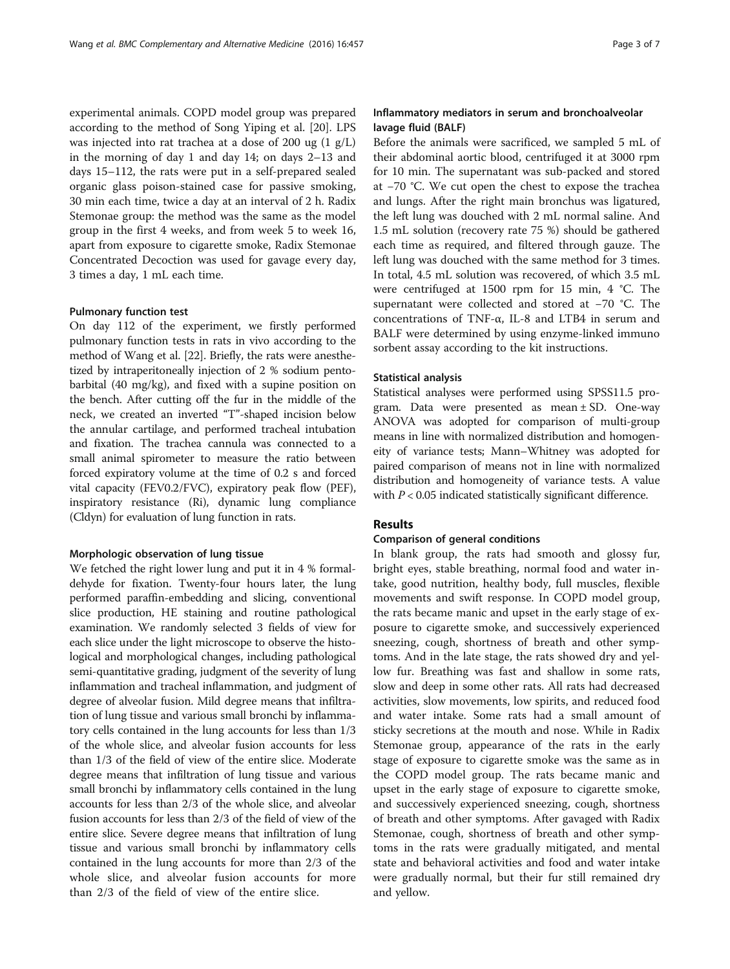experimental animals. COPD model group was prepared according to the method of Song Yiping et al. [[20\]](#page-6-0). LPS was injected into rat trachea at a dose of 200 ug (1 g/L) in the morning of day 1 and day 14; on days 2–13 and days 15–112, the rats were put in a self-prepared sealed organic glass poison-stained case for passive smoking, 30 min each time, twice a day at an interval of 2 h. Radix Stemonae group: the method was the same as the model group in the first 4 weeks, and from week 5 to week 16, apart from exposure to cigarette smoke, Radix Stemonae Concentrated Decoction was used for gavage every day, 3 times a day, 1 mL each time.

#### Pulmonary function test

On day 112 of the experiment, we firstly performed pulmonary function tests in rats in vivo according to the method of Wang et al. [\[22\]](#page-6-0). Briefly, the rats were anesthetized by intraperitoneally injection of 2 % sodium pentobarbital (40 mg/kg), and fixed with a supine position on the bench. After cutting off the fur in the middle of the neck, we created an inverted "T"-shaped incision below the annular cartilage, and performed tracheal intubation and fixation. The trachea cannula was connected to a small animal spirometer to measure the ratio between forced expiratory volume at the time of 0.2 s and forced vital capacity (FEV0.2/FVC), expiratory peak flow (PEF), inspiratory resistance (Ri), dynamic lung compliance (Cldyn) for evaluation of lung function in rats.

#### Morphologic observation of lung tissue

We fetched the right lower lung and put it in 4 % formaldehyde for fixation. Twenty-four hours later, the lung performed paraffin-embedding and slicing, conventional slice production, HE staining and routine pathological examination. We randomly selected 3 fields of view for each slice under the light microscope to observe the histological and morphological changes, including pathological semi-quantitative grading, judgment of the severity of lung inflammation and tracheal inflammation, and judgment of degree of alveolar fusion. Mild degree means that infiltration of lung tissue and various small bronchi by inflammatory cells contained in the lung accounts for less than 1/3 of the whole slice, and alveolar fusion accounts for less than 1/3 of the field of view of the entire slice. Moderate degree means that infiltration of lung tissue and various small bronchi by inflammatory cells contained in the lung accounts for less than 2/3 of the whole slice, and alveolar fusion accounts for less than 2/3 of the field of view of the entire slice. Severe degree means that infiltration of lung tissue and various small bronchi by inflammatory cells contained in the lung accounts for more than 2/3 of the whole slice, and alveolar fusion accounts for more than 2/3 of the field of view of the entire slice.

# Inflammatory mediators in serum and bronchoalveolar lavage fluid (BALF)

Before the animals were sacrificed, we sampled 5 mL of their abdominal aortic blood, centrifuged it at 3000 rpm for 10 min. The supernatant was sub-packed and stored at −70 °C. We cut open the chest to expose the trachea and lungs. After the right main bronchus was ligatured, the left lung was douched with 2 mL normal saline. And 1.5 mL solution (recovery rate 75 %) should be gathered each time as required, and filtered through gauze. The left lung was douched with the same method for 3 times. In total, 4.5 mL solution was recovered, of which 3.5 mL were centrifuged at 1500 rpm for 15 min, 4 °C. The supernatant were collected and stored at −70 °C. The concentrations of TNF-α, IL-8 and LTB4 in serum and BALF were determined by using enzyme-linked immuno sorbent assay according to the kit instructions.

#### Statistical analysis

Statistical analyses were performed using SPSS11.5 program. Data were presented as mean ± SD. One-way ANOVA was adopted for comparison of multi-group means in line with normalized distribution and homogeneity of variance tests; Mann–Whitney was adopted for paired comparison of means not in line with normalized distribution and homogeneity of variance tests. A value with  $P < 0.05$  indicated statistically significant difference.

#### Results

#### Comparison of general conditions

In blank group, the rats had smooth and glossy fur, bright eyes, stable breathing, normal food and water intake, good nutrition, healthy body, full muscles, flexible movements and swift response. In COPD model group, the rats became manic and upset in the early stage of exposure to cigarette smoke, and successively experienced sneezing, cough, shortness of breath and other symptoms. And in the late stage, the rats showed dry and yellow fur. Breathing was fast and shallow in some rats, slow and deep in some other rats. All rats had decreased activities, slow movements, low spirits, and reduced food and water intake. Some rats had a small amount of sticky secretions at the mouth and nose. While in Radix Stemonae group, appearance of the rats in the early stage of exposure to cigarette smoke was the same as in the COPD model group. The rats became manic and upset in the early stage of exposure to cigarette smoke, and successively experienced sneezing, cough, shortness of breath and other symptoms. After gavaged with Radix Stemonae, cough, shortness of breath and other symptoms in the rats were gradually mitigated, and mental state and behavioral activities and food and water intake were gradually normal, but their fur still remained dry and yellow.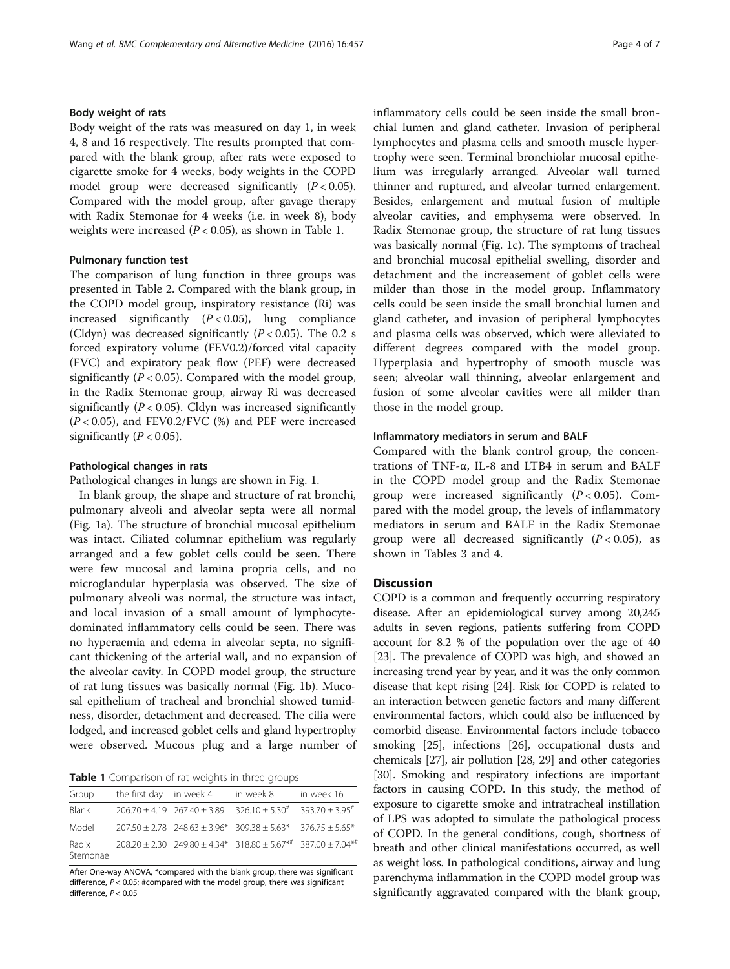# Body weight of rats

Body weight of the rats was measured on day 1, in week 4, 8 and 16 respectively. The results prompted that compared with the blank group, after rats were exposed to cigarette smoke for 4 weeks, body weights in the COPD model group were decreased significantly  $(P < 0.05)$ . Compared with the model group, after gavage therapy with Radix Stemonae for 4 weeks (i.e. in week 8), body weights were increased  $(P < 0.05)$ , as shown in Table 1.

#### Pulmonary function test

The comparison of lung function in three groups was presented in Table [2](#page-4-0). Compared with the blank group, in the COPD model group, inspiratory resistance (Ri) was increased significantly  $(P < 0.05)$ , lung compliance (Cldyn) was decreased significantly  $(P < 0.05)$ . The 0.2 s forced expiratory volume (FEV0.2)/forced vital capacity (FVC) and expiratory peak flow (PEF) were decreased significantly ( $P < 0.05$ ). Compared with the model group, in the Radix Stemonae group, airway Ri was decreased significantly  $(P < 0.05)$ . Cldyn was increased significantly  $(P < 0.05)$ , and FEV0.2/FVC  $(\%)$  and PEF were increased significantly ( $P < 0.05$ ).

#### Pathological changes in rats

Pathological changes in lungs are shown in Fig. [1.](#page-4-0)

In blank group, the shape and structure of rat bronchi, pulmonary alveoli and alveolar septa were all normal (Fig. [1a](#page-4-0)). The structure of bronchial mucosal epithelium was intact. Ciliated columnar epithelium was regularly arranged and a few goblet cells could be seen. There were few mucosal and lamina propria cells, and no microglandular hyperplasia was observed. The size of pulmonary alveoli was normal, the structure was intact, and local invasion of a small amount of lymphocytedominated inflammatory cells could be seen. There was no hyperaemia and edema in alveolar septa, no significant thickening of the arterial wall, and no expansion of the alveolar cavity. In COPD model group, the structure of rat lung tissues was basically normal (Fig. [1b](#page-4-0)). Mucosal epithelium of tracheal and bronchial showed tumidness, disorder, detachment and decreased. The cilia were lodged, and increased goblet cells and gland hypertrophy were observed. Mucous plug and a large number of

| Table 1 Comparison of rat weights in three groups |  |
|---------------------------------------------------|--|
|---------------------------------------------------|--|

| Group             | the first day in week 4 | in week 8                                                                                    | in week 16 |
|-------------------|-------------------------|----------------------------------------------------------------------------------------------|------------|
| Blank             |                         | $206.70 \pm 4.19$ $267.40 \pm 3.89$ $326.10 \pm 5.30^{\#}$ $393.70 \pm 3.95^{\#}$            |            |
| Model             |                         | $207.50 \pm 2.78$ $248.63 \pm 3.96*$ $309.38 \pm 5.63*$ $376.75 \pm 5.65*$                   |            |
| Radix<br>Stemonae |                         | $208.20 + 2.30$ $249.80 + 4.34*$ $318.80 + 5.67*$ <sup>#</sup> $387.00 + 7.04*$ <sup>#</sup> |            |

After One-way ANOVA, \*compared with the blank group, there was significant difference,  $P < 0.05$ ; #compared with the model group, there was significant difference, P < 0.05

inflammatory cells could be seen inside the small bronchial lumen and gland catheter. Invasion of peripheral lymphocytes and plasma cells and smooth muscle hypertrophy were seen. Terminal bronchiolar mucosal epithelium was irregularly arranged. Alveolar wall turned thinner and ruptured, and alveolar turned enlargement. Besides, enlargement and mutual fusion of multiple alveolar cavities, and emphysema were observed. In Radix Stemonae group, the structure of rat lung tissues was basically normal (Fig. [1c\)](#page-4-0). The symptoms of tracheal and bronchial mucosal epithelial swelling, disorder and detachment and the increasement of goblet cells were milder than those in the model group. Inflammatory cells could be seen inside the small bronchial lumen and gland catheter, and invasion of peripheral lymphocytes and plasma cells was observed, which were alleviated to different degrees compared with the model group. Hyperplasia and hypertrophy of smooth muscle was seen; alveolar wall thinning, alveolar enlargement and fusion of some alveolar cavities were all milder than those in the model group.

#### Inflammatory mediators in serum and BALF

Compared with the blank control group, the concentrations of TNF-α, IL-8 and LTB4 in serum and BALF in the COPD model group and the Radix Stemonae group were increased significantly  $(P < 0.05)$ . Compared with the model group, the levels of inflammatory mediators in serum and BALF in the Radix Stemonae group were all decreased significantly  $(P < 0.05)$ , as shown in Tables [3](#page-5-0) and [4](#page-5-0).

### **Discussion**

COPD is a common and frequently occurring respiratory disease. After an epidemiological survey among 20,245 adults in seven regions, patients suffering from COPD account for 8.2 % of the population over the age of 40 [[23](#page-6-0)]. The prevalence of COPD was high, and showed an increasing trend year by year, and it was the only common disease that kept rising [[24](#page-6-0)]. Risk for COPD is related to an interaction between genetic factors and many different environmental factors, which could also be influenced by comorbid disease. Environmental factors include tobacco smoking [\[25\]](#page-6-0), infections [[26](#page-6-0)], occupational dusts and chemicals [\[27\]](#page-6-0), air pollution [[28, 29\]](#page-6-0) and other categories [[30](#page-6-0)]. Smoking and respiratory infections are important factors in causing COPD. In this study, the method of exposure to cigarette smoke and intratracheal instillation of LPS was adopted to simulate the pathological process of COPD. In the general conditions, cough, shortness of breath and other clinical manifestations occurred, as well as weight loss. In pathological conditions, airway and lung parenchyma inflammation in the COPD model group was significantly aggravated compared with the blank group,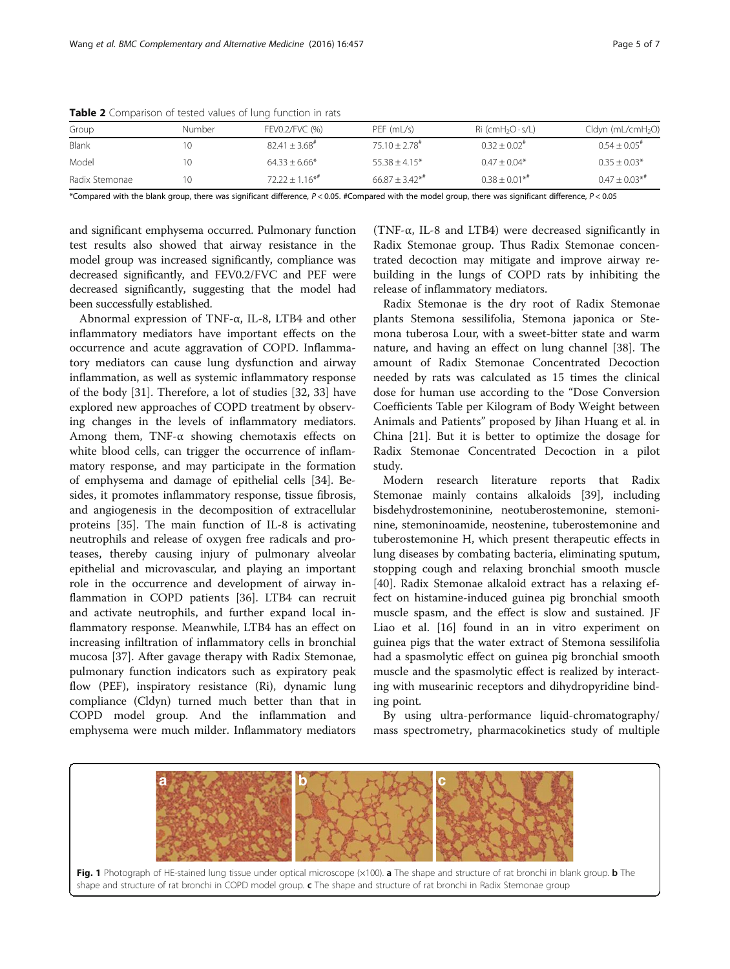| Group          | Number | FEV0.2/FVC (%)            | PEF (mL/s)                  | $\operatorname{Ri}$ (cmH <sub>2</sub> O $\cdot$ s/L) | $Cldyn$ (mL/cmH <sub>2</sub> O) |
|----------------|--------|---------------------------|-----------------------------|------------------------------------------------------|---------------------------------|
| Blank          |        | $82.41 + 3.68^{\text{*}}$ | $75.10 + 2.78$ <sup>#</sup> | $0.32 + 0.02$ <sup>#</sup>                           | $0.54 + 0.05$ <sup>#</sup>      |
| Model          |        | $64.33 + 6.66*$           | $5538 + 415*$               | $0.47 + 0.04*$                                       | $0.35 + 0.03*$                  |
| Radix Stemonae |        | $72.22 + 1.16**$          | $66.87 + 3.42**$            | $0.38 + 0.01**$                                      | $0.47 + 0.03**$                 |

<span id="page-4-0"></span>Table 2 Comparison of tested values of lung function in rats

\*Compared with the blank group, there was significant difference, P < 0.05. #Compared with the model group, there was significant difference, P < 0.05

and significant emphysema occurred. Pulmonary function test results also showed that airway resistance in the model group was increased significantly, compliance was decreased significantly, and FEV0.2/FVC and PEF were decreased significantly, suggesting that the model had been successfully established.

Abnormal expression of TNF-α, IL-8, LTB4 and other inflammatory mediators have important effects on the occurrence and acute aggravation of COPD. Inflammatory mediators can cause lung dysfunction and airway inflammation, as well as systemic inflammatory response of the body [[31\]](#page-6-0). Therefore, a lot of studies [[32, 33\]](#page-6-0) have explored new approaches of COPD treatment by observing changes in the levels of inflammatory mediators. Among them, TNF- $\alpha$  showing chemotaxis effects on white blood cells, can trigger the occurrence of inflammatory response, and may participate in the formation of emphysema and damage of epithelial cells [\[34\]](#page-6-0). Besides, it promotes inflammatory response, tissue fibrosis, and angiogenesis in the decomposition of extracellular proteins [\[35](#page-6-0)]. The main function of IL-8 is activating neutrophils and release of oxygen free radicals and proteases, thereby causing injury of pulmonary alveolar epithelial and microvascular, and playing an important role in the occurrence and development of airway inflammation in COPD patients [[36](#page-6-0)]. LTB4 can recruit and activate neutrophils, and further expand local inflammatory response. Meanwhile, LTB4 has an effect on increasing infiltration of inflammatory cells in bronchial mucosa [\[37](#page-6-0)]. After gavage therapy with Radix Stemonae, pulmonary function indicators such as expiratory peak flow (PEF), inspiratory resistance (Ri), dynamic lung compliance (Cldyn) turned much better than that in COPD model group. And the inflammation and emphysema were much milder. Inflammatory mediators

(TNF-α, IL-8 and LTB4) were decreased significantly in Radix Stemonae group. Thus Radix Stemonae concentrated decoction may mitigate and improve airway rebuilding in the lungs of COPD rats by inhibiting the release of inflammatory mediators.

Radix Stemonae is the dry root of Radix Stemonae plants Stemona sessilifolia, Stemona japonica or Stemona tuberosa Lour, with a sweet-bitter state and warm nature, and having an effect on lung channel [\[38\]](#page-6-0). The amount of Radix Stemonae Concentrated Decoction needed by rats was calculated as 15 times the clinical dose for human use according to the "Dose Conversion Coefficients Table per Kilogram of Body Weight between Animals and Patients" proposed by Jihan Huang et al. in China [[21\]](#page-6-0). But it is better to optimize the dosage for Radix Stemonae Concentrated Decoction in a pilot study.

Modern research literature reports that Radix Stemonae mainly contains alkaloids [\[39](#page-6-0)], including bisdehydrostemoninine, neotuberostemonine, stemoninine, stemoninoamide, neostenine, tuberostemonine and tuberostemonine H, which present therapeutic effects in lung diseases by combating bacteria, eliminating sputum, stopping cough and relaxing bronchial smooth muscle [[40\]](#page-6-0). Radix Stemonae alkaloid extract has a relaxing effect on histamine-induced guinea pig bronchial smooth muscle spasm, and the effect is slow and sustained. JF Liao et al. [[16](#page-6-0)] found in an in vitro experiment on guinea pigs that the water extract of Stemona sessilifolia had a spasmolytic effect on guinea pig bronchial smooth muscle and the spasmolytic effect is realized by interacting with musearinic receptors and dihydropyridine binding point.

By using ultra-performance liquid-chromatography/ mass spectrometry, pharmacokinetics study of multiple

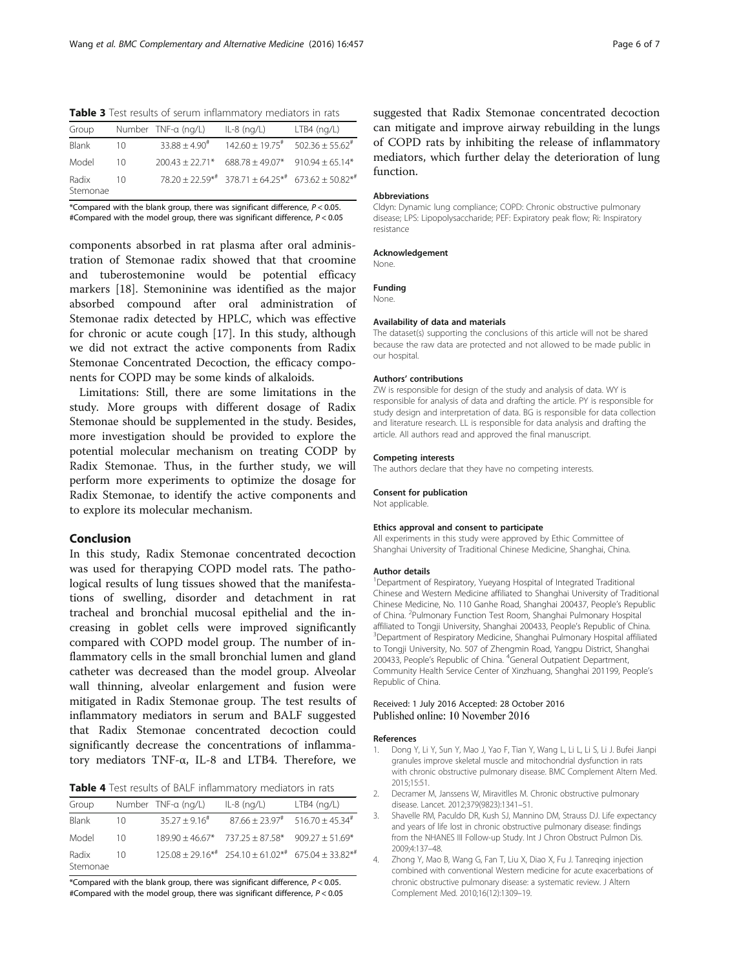<span id="page-5-0"></span>Table 3 Test results of serum inflammatory mediators in rats

| Group             |    | Number TNF-a (ng/L)       | $IL-8$ (ng/L)                                                                   | $LTB4$ (ng/L) |
|-------------------|----|---------------------------|---------------------------------------------------------------------------------|---------------|
| Blank             | 10 | $33.88 + 4.90^{\text{*}}$ | $142.60 + 19.75$ <sup>#</sup> 502.36 + 55.62 <sup>#</sup>                       |               |
| Model             | 10 |                           | $200.43 + 22.71*$ 688.78 + 49.07* 910.94 + 65.14*                               |               |
| Radix<br>Stemonae | 10 |                           | $78.20 + 22.59^{*+1}$ 378.71 + 64.25 <sup>**</sup> 673.62 + 50.82 <sup>**</sup> |               |

\*Compared with the blank group, there was significant difference,  $P < 0.05$ . #Compared with the model group, there was significant difference, P < 0.05

components absorbed in rat plasma after oral administration of Stemonae radix showed that that croomine and tuberostemonine would be potential efficacy markers [[18](#page-6-0)]. Stemoninine was identified as the major absorbed compound after oral administration of Stemonae radix detected by HPLC, which was effective for chronic or acute cough [[17\]](#page-6-0). In this study, although we did not extract the active components from Radix Stemonae Concentrated Decoction, the efficacy components for COPD may be some kinds of alkaloids.

Limitations: Still, there are some limitations in the study. More groups with different dosage of Radix Stemonae should be supplemented in the study. Besides, more investigation should be provided to explore the potential molecular mechanism on treating CODP by Radix Stemonae. Thus, in the further study, we will perform more experiments to optimize the dosage for Radix Stemonae, to identify the active components and to explore its molecular mechanism.

#### Conclusion

In this study, Radix Stemonae concentrated decoction was used for therapying COPD model rats. The pathological results of lung tissues showed that the manifestations of swelling, disorder and detachment in rat tracheal and bronchial mucosal epithelial and the increasing in goblet cells were improved significantly compared with COPD model group. The number of inflammatory cells in the small bronchial lumen and gland catheter was decreased than the model group. Alveolar wall thinning, alveolar enlargement and fusion were mitigated in Radix Stemonae group. The test results of inflammatory mediators in serum and BALF suggested that Radix Stemonae concentrated decoction could significantly decrease the concentrations of inflammatory mediators TNF-α, IL-8 and LTB4. Therefore, we

Table 4 Test results of BALF inflammatory mediators in rats

| Group             |    | Number TNF-a (ng/L) | $IL-8$ (ng/L)                                                          | $LTB4$ (ng/L) |
|-------------------|----|---------------------|------------------------------------------------------------------------|---------------|
| Blank             | 10 | $35.27 + 9.16^{\#}$ | $87.66 + 23.97^{\#}$ 516.70 + 45.34 <sup>#</sup>                       |               |
| Model             | 10 |                     | $189.90 + 46.67*$ 737.25 + 87.58* 909.27 + 51.69*                      |               |
| Radix<br>Stemonae | 10 |                     | $125.08 + 29.16^{*}$ $254.10 + 61.02^{*}$ 675.04 + 33.82 <sup>**</sup> |               |

\*Compared with the blank group, there was significant difference,  $P < 0.05$ . #Compared with the model group, there was significant difference, P < 0.05 suggested that Radix Stemonae concentrated decoction can mitigate and improve airway rebuilding in the lungs of COPD rats by inhibiting the release of inflammatory mediators, which further delay the deterioration of lung function.

#### Abbreviations

Cldyn: Dynamic lung compliance; COPD: Chronic obstructive pulmonary disease; LPS: Lipopolysaccharide; PEF: Expiratory peak flow; Ri: Inspiratory resistance

#### Acknowledgement

None.

Funding

#### None.

#### Availability of data and materials

The dataset(s) supporting the conclusions of this article will not be shared because the raw data are protected and not allowed to be made public in our hospital.

#### Authors' contributions

ZW is responsible for design of the study and analysis of data. WY is responsible for analysis of data and drafting the article. PY is responsible for study design and interpretation of data. BG is responsible for data collection and literature research. LL is responsible for data analysis and drafting the article. All authors read and approved the final manuscript.

#### Competing interests

The authors declare that they have no competing interests.

#### Consent for publication

Not applicable.

#### Ethics approval and consent to participate

All experiments in this study were approved by Ethic Committee of Shanghai University of Traditional Chinese Medicine, Shanghai, China.

#### Author details

<sup>1</sup>Department of Respiratory, Yueyang Hospital of Integrated Traditional Chinese and Western Medicine affiliated to Shanghai University of Traditional Chinese Medicine, No. 110 Ganhe Road, Shanghai 200437, People's Republic of China. <sup>2</sup>Pulmonary Function Test Room, Shanghai Pulmonary Hospital affiliated to Tongji University, Shanghai 200433, People's Republic of China. <sup>3</sup> <sup>3</sup>Department of Respiratory Medicine, Shanghai Pulmonary Hospital affiliated to Tongji University, No. 507 of Zhengmin Road, Yangpu District, Shanghai 200433, People's Republic of China. <sup>4</sup>General Outpatient Department Community Health Service Center of Xinzhuang, Shanghai 201199, People's Republic of China.

#### Received: 1 July 2016 Accepted: 28 October 2016 Published online: 10 November 2016

#### References

- 1. Dong Y, Li Y, Sun Y, Mao J, Yao F, Tian Y, Wang L, Li L, Li S, Li J. Bufei Jianpi granules improve skeletal muscle and mitochondrial dysfunction in rats with chronic obstructive pulmonary disease. BMC Complement Altern Med. 2015;15:51.
- 2. Decramer M, Janssens W, Miravitlles M. Chronic obstructive pulmonary disease. Lancet. 2012;379(9823):1341–51.
- 3. Shavelle RM, Paculdo DR, Kush SJ, Mannino DM, Strauss DJ. Life expectancy and years of life lost in chronic obstructive pulmonary disease: findings from the NHANES III Follow-up Study. Int J Chron Obstruct Pulmon Dis. 2009;4:137–48.
- 4. Zhong Y, Mao B, Wang G, Fan T, Liu X, Diao X, Fu J. Tanreqing injection combined with conventional Western medicine for acute exacerbations of chronic obstructive pulmonary disease: a systematic review. J Altern Complement Med. 2010;16(12):1309–19.